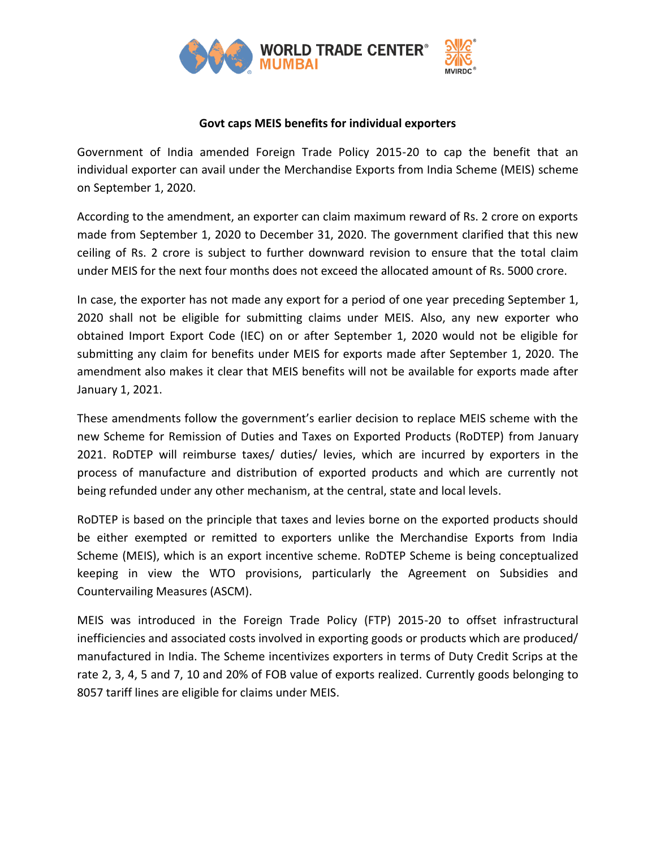

## **Govt caps MEIS benefits for individual exporters**

Government of India amended Foreign Trade Policy 2015-20 to cap the benefit that an individual exporter can avail under the Merchandise Exports from India Scheme (MEIS) scheme on September 1, 2020.

According to the amendment, an exporter can claim maximum reward of Rs. 2 crore on exports made from September 1, 2020 to December 31, 2020. The government clarified that this new ceiling of Rs. 2 crore is subject to further downward revision to ensure that the total claim under MEIS for the next four months does not exceed the allocated amount of Rs. 5000 crore.

In case, the exporter has not made any export for a period of one year preceding September 1, 2020 shall not be eligible for submitting claims under MEIS. Also, any new exporter who obtained Import Export Code (IEC) on or after September 1, 2020 would not be eligible for submitting any claim for benefits under MEIS for exports made after September 1, 2020. The amendment also makes it clear that MEIS benefits will not be available for exports made after January 1, 2021.

These amendments follow the government's earlier decision to replace MEIS scheme with the new Scheme for Remission of Duties and Taxes on Exported Products (RoDTEP) from January 2021. RoDTEP will reimburse taxes/ duties/ levies, which are incurred by exporters in the process of manufacture and distribution of exported products and which are currently not being refunded under any other mechanism, at the central, state and local levels.

RoDTEP is based on the principle that taxes and levies borne on the exported products should be either exempted or remitted to exporters unlike the Merchandise Exports from India Scheme (MEIS), which is an export incentive scheme. RoDTEP Scheme is being conceptualized keeping in view the WTO provisions, particularly the Agreement on Subsidies and Countervailing Measures (ASCM).

MEIS was introduced in the Foreign Trade Policy (FTP) 2015-20 to offset infrastructural inefficiencies and associated costs involved in exporting goods or products which are produced/ manufactured in India. The Scheme incentivizes exporters in terms of Duty Credit Scrips at the rate 2, 3, 4, 5 and 7, 10 and 20% of FOB value of exports realized. Currently goods belonging to 8057 tariff lines are eligible for claims under MEIS.